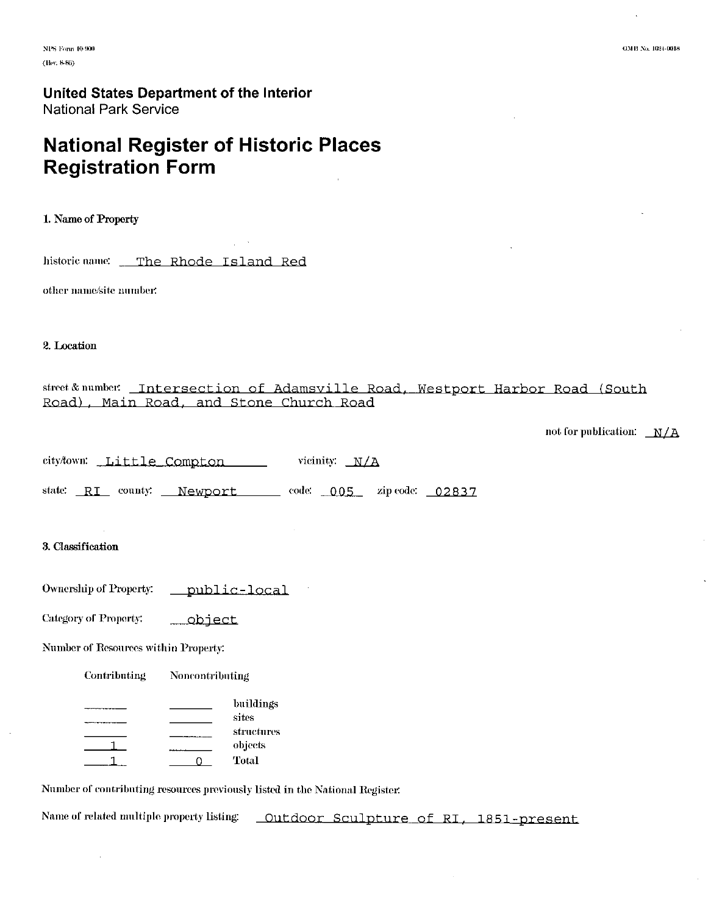# **National Register of Historic Places Registration Form**

1. Name of Property

historic name: \_ The Rhode Island Red

other name/site number:

#### 2. Location

## street & number: Intersection of Adamsville Road, Westport Harbor Road (South Road), Main Road, and Stone Church Road

| not for publication: | N/A |
|----------------------|-----|
|----------------------|-----|

| city/town: | Little Compton | vicinity: $N/A$ |  |
|------------|----------------|-----------------|--|
|------------|----------------|-----------------|--|

state: RI county: Newport code: 005 zip code: 02837

#### 3. Classification

**Ownership of Property:** public-local

Category of Property: <u>\_\_object</u>

Number of Resources within Property:

Contributing Noncontributing

|  | buildings  |
|--|------------|
|  | sites      |
|  | structures |
|  | objects    |
|  | Total"     |

Number of contributing resources previously listed in the National Register.

Name of related multiple property listing: Outdoor Sculpture of RI, 1851-present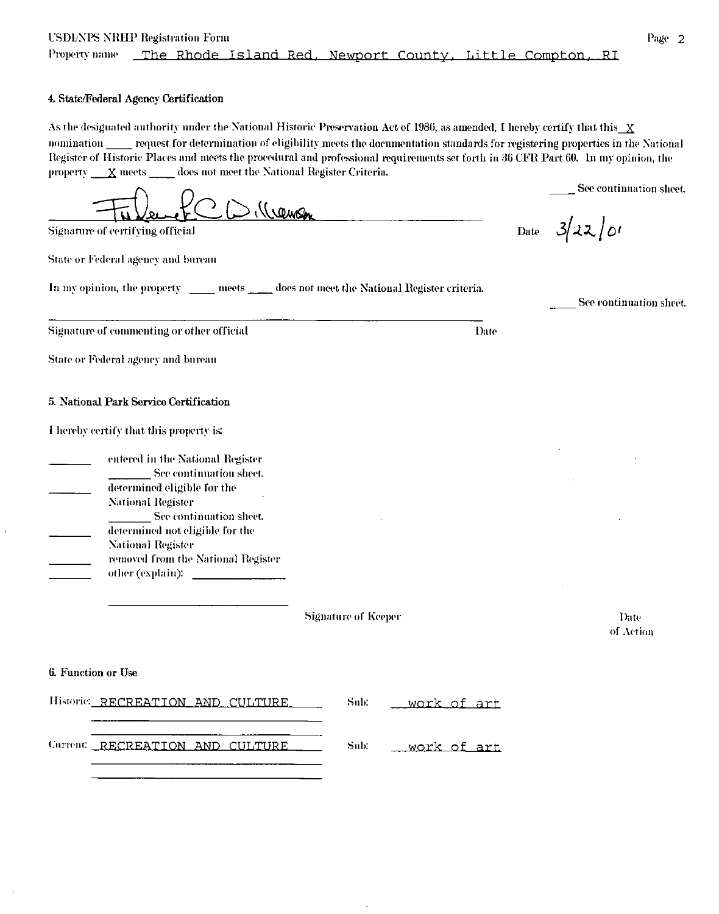### 4. State/Federal Agency Certification

As the designated authority under the National Historic Preservation Act of 1986, as amended, I hereby certify that this X nomination request for determination of eligibility meets the documentation standards for registering properties in the National Register of Historic Places and meets the procedural and professional requirements set forth in 36 CFR Part 60. In my opinion, the property  $\mathbf{X}$  meets  $\mathbf{X}$  does not meet the National Register Criteria.

), (Cemen **Signature of certifying official** 

State or Federal agency and bureau

In my opinion, the property \_\_\_\_\_ meets \_\_\_\_\_ does not meet the National Register criteria.

Signature of commenting or other official

State or Federal agency and bureau

5. National Park Service Certification

|  | I hereby certify that this property is: |  |
|--|-----------------------------------------|--|
|  |                                         |  |

entered in the National Register See continuation sheet. determined eligible for the **National Register** See continuation sheet. determined not eligible for the **National Register** removed from the National Register other (explain):

**Signature of Keeper** 

6. Function or Use

|  | Historic RECREATION AND CULTURE | Sub: <u>work of art</u> |
|--|---------------------------------|-------------------------|
|  | Current RECREATION AND CULTURE  |                         |

See continuation sheet.

 $3/22/01$ Date

Date

See continuation sheet.

Date of Action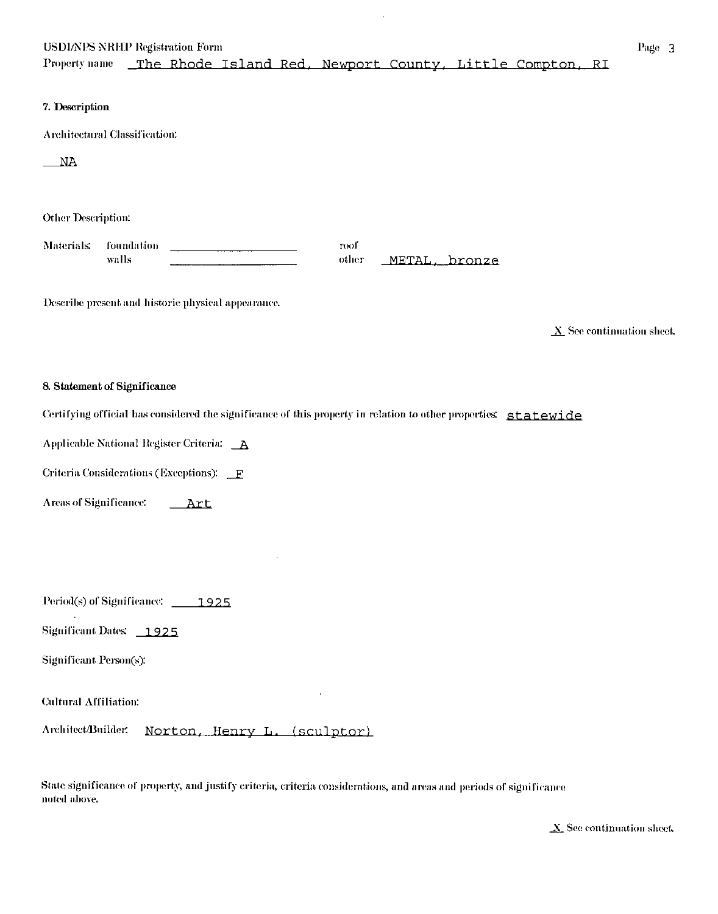## **USDIAPS NRHP Registration Form**

The Rhode Island Red, Newport County, Little Compton, RI Property name

#### 7. Description

**Architectural Classification:** 

 $M_A$ 

**Other Description:** 

Materials: foundation roof walls other METAL, bronze

Describe present and historic physical appearance.

 $\underline{X}$  See continuation sheet.

#### 8. Statement of Significance

Certifying official has considered the significance of this property in relation to other properties: statewide

Applicable National Register Criteria: A

Criteria Considerations (Exceptions): F

**Areas of Significance:** \_\_Art

Period(s) of Significance: 1925

Significant Dates: 1925

Significant Person(s):

**Cultural Affiliation:** 

Architect/Builder. Norton, Henry L. (sculptor)

State significance of property, and justify criteria, criteria considerations, and areas and periods of significance noted above.

 $\underline{X}$  See continuation sheet.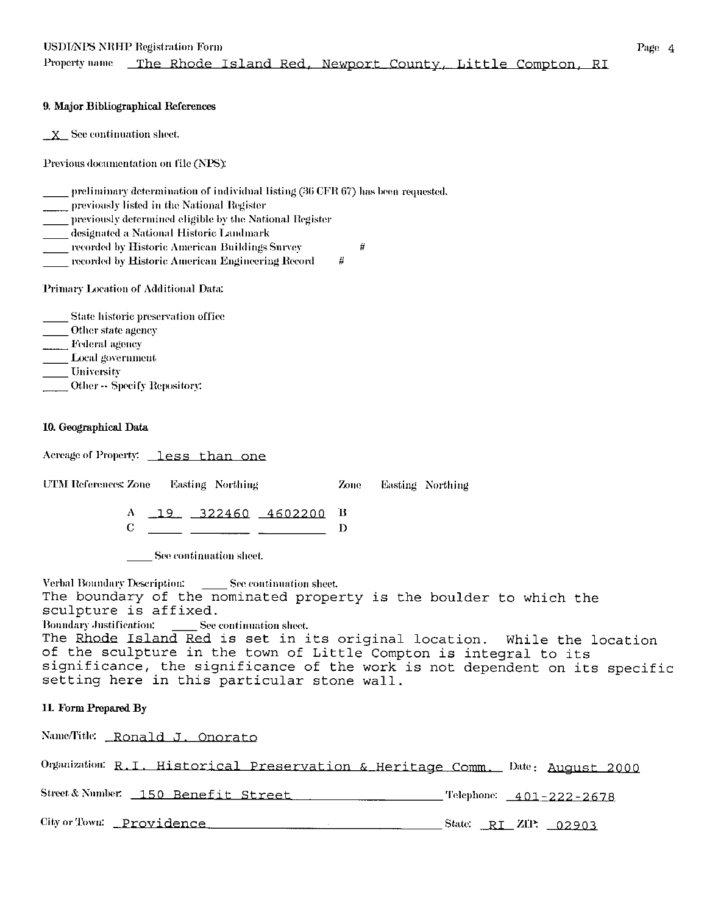Property name The Rhode Island Red, Newport County, Little Compton, RI

 $\#$ 

 $\#$ 

### 9. Major Bibliographical References

 $X$  See continuation sheet.

Previous documentation on file (NPS):

preliminary determination of individual listing (36 CFR 67) has been requested.

previously listed in the National Register

previously determined eligible by the National Register

designated a National Historic Landmark

recorded by Historic American Buildings Survey

recorded by Historic American Engineering Record

Primary Location of Additional Data:

State historic preservation office Other state agency Federal agency

Local government

University

\_Other -- Specify Repository:

## 10. Geographical Data

Acreage of Property: less than one

UTM References: Zone Easting Northing Zone Easting Northing

> $\Lambda$  19 322460 4602200 B  $C \longrightarrow C$ D

See continuation sheet.

Verbal Boundary Description: \_\_\_\_\_\_ See continuation sheet. The boundary of the nominated property is the boulder to which the sculpture is affixed. **Boundary Justification:** See continuation sheet.

The Rhode Island Red is set in its original location. While the location of the sculpture in the town of Little Compton is integral to its significance, the significance of the work is not dependent on its specific setting here in this particular stone wall.

## 11. Form Prepared By

Name/Title: Ronald J. Onorato

| Organization: R.I. Historical Preservation & Heritage Comm. Date: August 2000 |                                   |
|-------------------------------------------------------------------------------|-----------------------------------|
| Street & Number: 150 Benefit Street                                           |                                   |
| City or Town: Providence                                                      | State: $\overline{RI}$ ZIP: 02903 |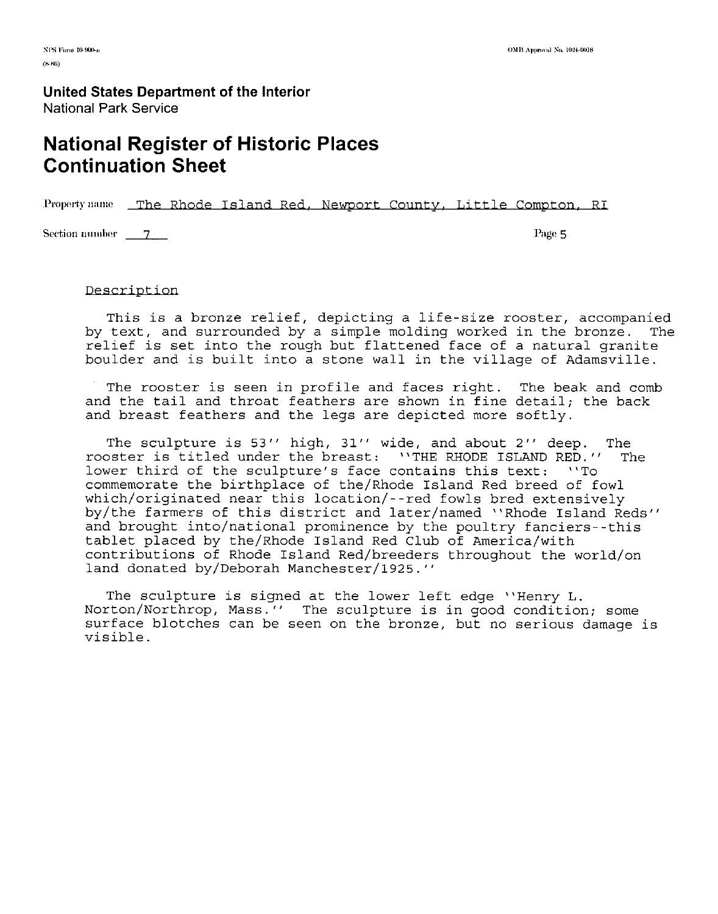# **National Register of Historic Places Continuation Sheet**

Property name The Rhode Island Red. Newport County, Little Compton, RI

Section number <u>7 Page 5</u>

### Description

This is a bronze relief, depicting a life-size rooster, accompanied<br>text, and surrounded by a simple molding worked in the bronze. The by text, and surrounded by a simple molding worked in the bronze. relief is set into the rough but flattened face of a natural granite boulder and is built into a stone wall in the village of Adamsville.

The rooster is seen in profile and faces right. The beak and comb and the tail and throat feathers are shown in fine detail; the back and breast feathers and the legs are depicted more softly.

The sculpture is 53'' high, 31'' wide, and about 2'' deep. The rooster is titled under the breast: ''THE RHODE ISLAND RED.'' The<br>lower third of the sculpture's face contains this text: ''To lower third of the sculpture's face contains this text: commemorate the birthplace of the/Rhode Island Red breed of fowl which/originated near this location/--red fowls bred extensively by/the farmers of this district and later/named "Rhode Island Reds" and brought into/national prominence by the poultry fanciers--this tablet placed by the/Rhode Island Red Club of America/with contributions of Rhode Island Red/breeders throughout the world/on land donated by/Deborah Manchester/1925."

The sculpture is signed at the lower left edge ''Henry L. Norton/Northrop, Mass'' The sculpture is in good condition; some surface blotches can be seen on the bronze, but no serious damage is visible.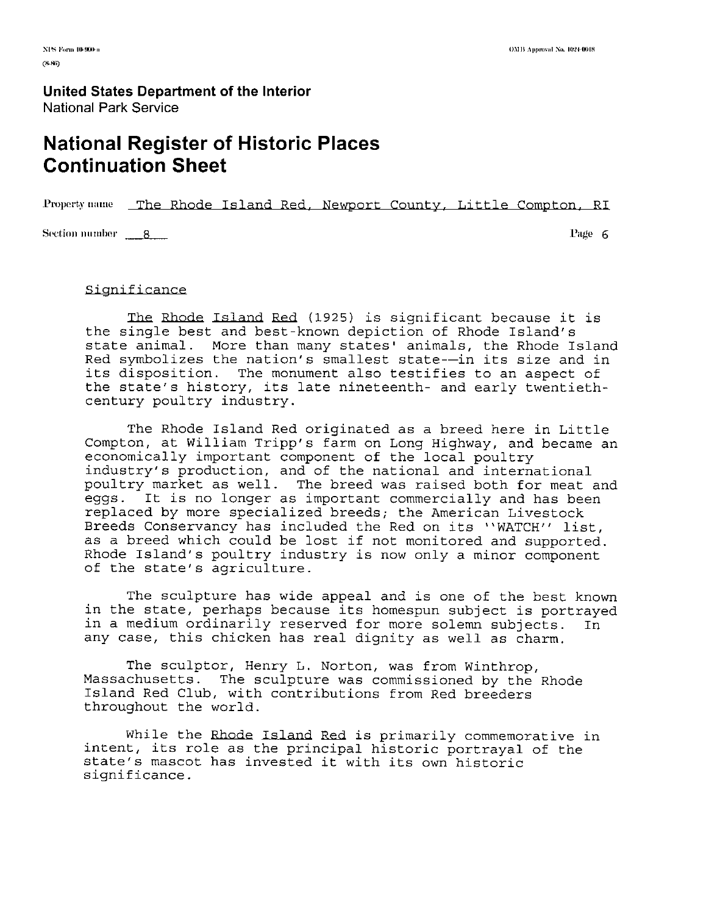# **National Register of Historic Places Continuation Sheet**

Property name The Rhode Island Red. Newport County. Little Compton. RI

**Section number p**<sub>1</sub>*8* 

**Page** 6

#### Significance

**The** Rhode Island Red 1925 is significant because it is the single best and best-known depiction of Rhode Island's state animal. More than many states' animals, the Rhode Island Red symbolizes the nation's smallest state--in its size and in its disposition. The monument also testifies to an aspect of the state's history, its late nineteenth- and early twentiethcentury poultry industry.

The Rhode Island Red originated as a breed here in Little Compton, at William Tripp's farm on Long Highway, and became an economically important component of the local poultry industry's production, and of the national and international poultry market as well. The breed was raised both for meat and eggs. It is no longer as important commercially and has been replaced by more specialized breeds; the American Livestock Breeds Conservancy has included the Red on its "WATCH" list, as a breed which could be lost if not monitored and supported. Rhode Island's poultry industry is now only a minor component of the state's agriculture.

The sculpture has wide appeal and is one of the best known in the state, perhaps because its homespun subject is portrayed in a medium ordinarily reserved for more solemn subjects. In any case, this chicken has real dignity as well as charm.

The sculptor, Henry L. Norton, was from Winthrop, Massachusetts. The sculpture was commissioned by the Rhode Island Red Club, with contributions from Red breeders throughout the world.

While the Rhode Island Red is primarily commemorative in intent, its role as the principal historic portrayal of the state's mascot has invested it with its own historic significance.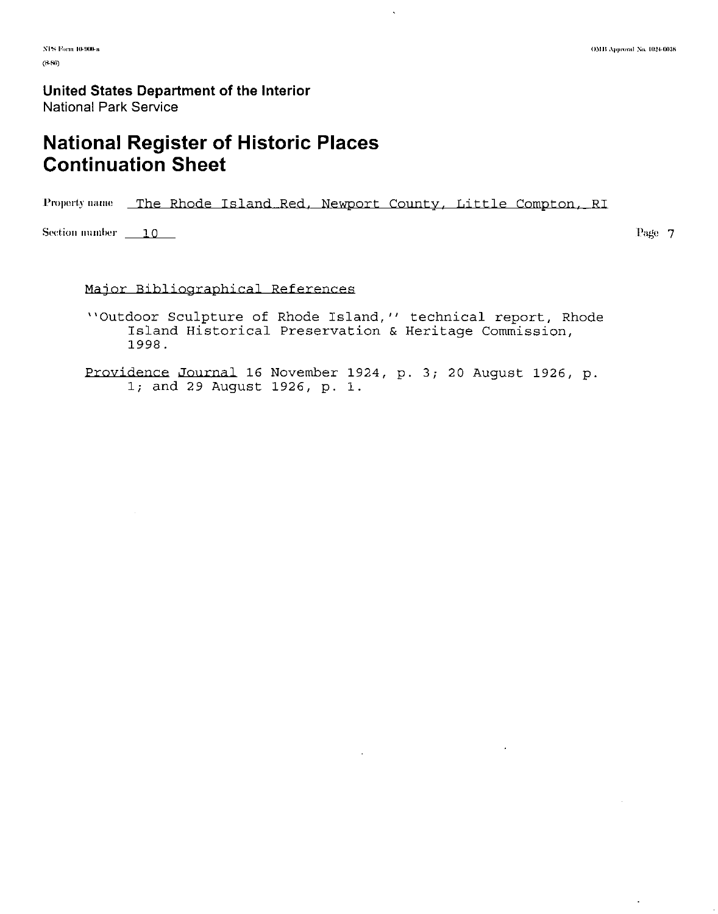# **National Register of Historic Places Continuation Sheet**

Property name The Rhode Island Red, Newport County, Little Compton, RI

Section number  $\qquad 10$ 

Page 7

# Major Bibliographical References

"Outdoor Sculpture of Rhode Island," technical report, Rhode Island Historical Preservation & Heritage Commission, 1998.

Providence Journal 16 November 1924, p. 3; 20 August 1926, p. 1; and 29 August 1926, p. 1.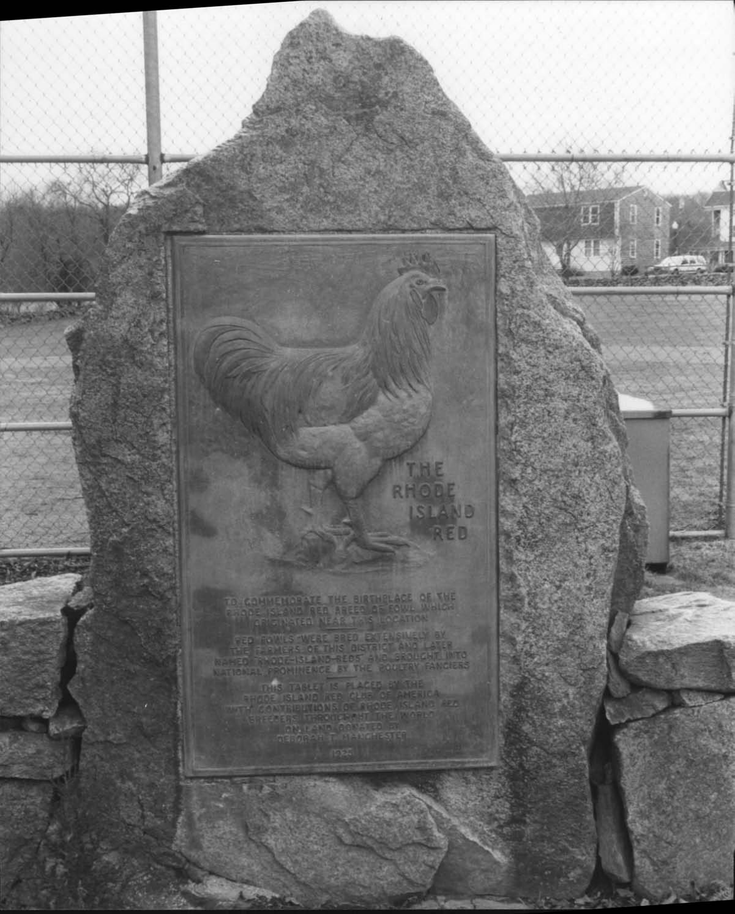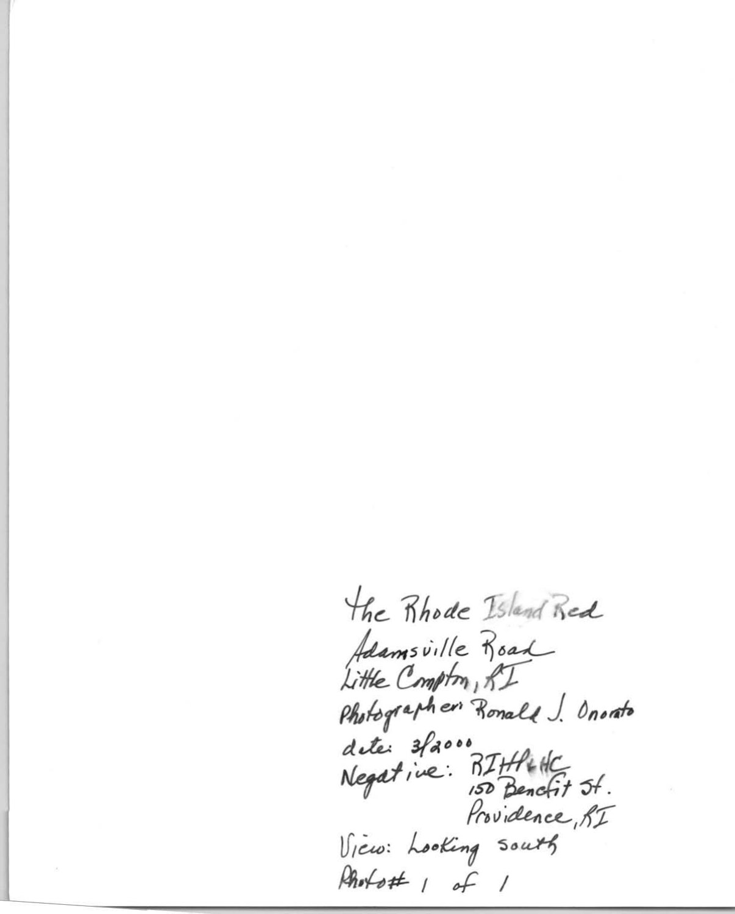the Rhode Island Red Adamsville Road Little Compton, RI Photographer Ronald J. Onorato dete: 3facoo<br>Negative: BIHP+HC<br>Negative: 150 Bencfit 5f. Providence, RI Vicio: Looking south Rhotott 1 of